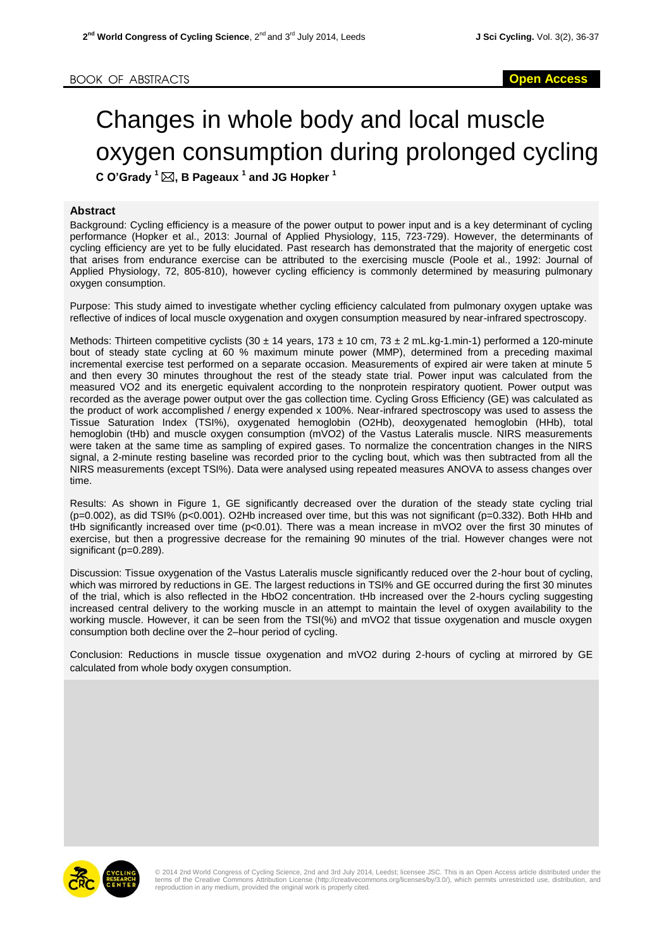## Changes in whole body and local muscle oxygen consumption during prolonged cycling

**C O'Grady <sup>1</sup>, B Pageaux <sup>1</sup> and JG Hopker <sup>1</sup>**

## **Abstract**

Background: Cycling efficiency is a measure of the power output to power input and is a key determinant of cycling performance (Hopker et al., 2013: Journal of Applied Physiology, 115, 723-729). However, the determinants of cycling efficiency are yet to be fully elucidated. Past research has demonstrated that the majority of energetic cost that arises from endurance exercise can be attributed to the exercising muscle (Poole et al., 1992: Journal of Applied Physiology, 72, 805-810), however cycling efficiency is commonly determined by measuring pulmonary oxygen consumption.

Purpose: This study aimed to investigate whether cycling efficiency calculated from pulmonary oxygen uptake was reflective of indices of local muscle oxygenation and oxygen consumption measured by near-infrared spectroscopy.

Methods: Thirteen competitive cyclists (30  $\pm$  14 years, 173  $\pm$  10 cm, 73  $\pm$  2 mL.kg-1.min-1) performed a 120-minute bout of steady state cycling at 60 % maximum minute power (MMP), determined from a preceding maximal incremental exercise test performed on a separate occasion. Measurements of expired air were taken at minute 5 and then every 30 minutes throughout the rest of the steady state trial. Power input was calculated from the measured VO2 and its energetic equivalent according to the nonprotein respiratory quotient. Power output was recorded as the average power output over the gas collection time. Cycling Gross Efficiency (GE) was calculated as the product of work accomplished / energy expended x 100%. Near-infrared spectroscopy was used to assess the Tissue Saturation Index (TSI%), oxygenated hemoglobin (O2Hb), deoxygenated hemoglobin (HHb), total hemoglobin (tHb) and muscle oxygen consumption (mVO2) of the Vastus Lateralis muscle. NIRS measurements were taken at the same time as sampling of expired gases. To normalize the concentration changes in the NIRS signal, a 2-minute resting baseline was recorded prior to the cycling bout, which was then subtracted from all the NIRS measurements (except TSI%). Data were analysed using repeated measures ANOVA to assess changes over time.

Results: As shown in Figure 1, GE significantly decreased over the duration of the steady state cycling trial (p=0.002), as did TSI% (p<0.001). O2Hb increased over time, but this was not significant (p=0.332). Both HHb and tHb significantly increased over time (p<0.01). There was a mean increase in mVO2 over the first 30 minutes of exercise, but then a progressive decrease for the remaining 90 minutes of the trial. However changes were not significant (p=0.289).

Discussion: Tissue oxygenation of the Vastus Lateralis muscle significantly reduced over the 2-hour bout of cycling, which was mirrored by reductions in GE. The largest reductions in TSI% and GE occurred during the first 30 minutes of the trial, which is also reflected in the HbO2 concentration. tHb increased over the 2-hours cycling suggesting increased central delivery to the working muscle in an attempt to maintain the level of oxygen availability to the working muscle. However, it can be seen from the TSI(%) and mVO2 that tissue oxygenation and muscle oxygen consumption both decline over the 2–hour period of cycling.

Conclusion: Reductions in muscle tissue oxygenation and mVO2 during 2-hours of cycling at mirrored by GE calculated from whole body oxygen consumption.



© 2014 2nd World Congress of Cycling Science, 2nd and 3rd July 2014, Leedst; licensee JSC. This is an Open Access article distributed under the<br>terms of the Creative Commons Attribution License (http://creativecommons.org/ reproduction in any medium, provided the original work is properly cited.